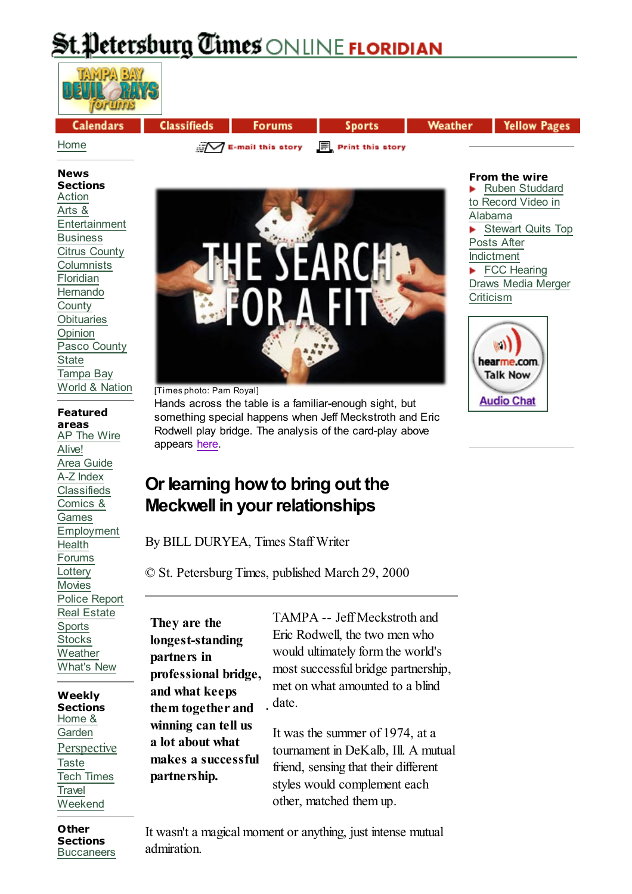# <u>Petersburg Times ONLINE FLORIDIAN</u>

| <b>Calendars</b> | <b>Classifieds</b>                                   | <b>Forums</b> | <b>Sports</b> | Weather | Yellow Pages |
|------------------|------------------------------------------------------|---------------|---------------|---------|--------------|
| Home             | $\sqrt{2}$ E-mail this story $\Box$ Print this story |               |               |         |              |

#### **News Sections**

Action Arts & Entertainment **Business** Citrus County **Columnists** Floridian **Hernando County Obituaries** Opinion Pasco County **State** Tampa Bay World & Nation

# **Featured**

**areas** AP The Wire Alive! Area Guide A-Z Index Classifieds Comics & Games Employment Health Forums **Lottery** Movies Police Report Real Estate **Sports Stocks Weather** What's New

**Weekly Sections** Home & Garden **Perspective Taste** Tech Times **Travel** Weekend



[Times photo: Pam Royal]

Hands across the table is a familiar-enough sight, but something special happens when Jeff Meckstroth and Eric Rodwell play bridge. The analysis of the card-play above appears here.

#### **From the wire** Ruben Studdard

to Record Video in Alabama Stewart Quits Top Posts After Indictment FCC Hearing Draws Media Merger **Criticism** 



# **Or learning how to bring out the Meckwell in your relationships**

By BILL DURYEA, Times Staff Writer

© St. Petersburg Times, published March 29, 2000

**They are the longest-standing partners in professional bridge, and what keeps them together and winning can tell us a lot about what makes a successful partnership.**

TAMPA -- Jeff Meckstroth and Eric Rodwell, the two men who would ultimately form the world's most successful bridge partnership, met on what amounted to a blind date

It was the summer of 1974, at a tournament in DeKalb, Ill. A mutual friend, sensing that their different styles would complement each other, matched them up.

**Other Sections Buccaneers** 

It wasn't a magical moment or anything, just intense mutual admiration.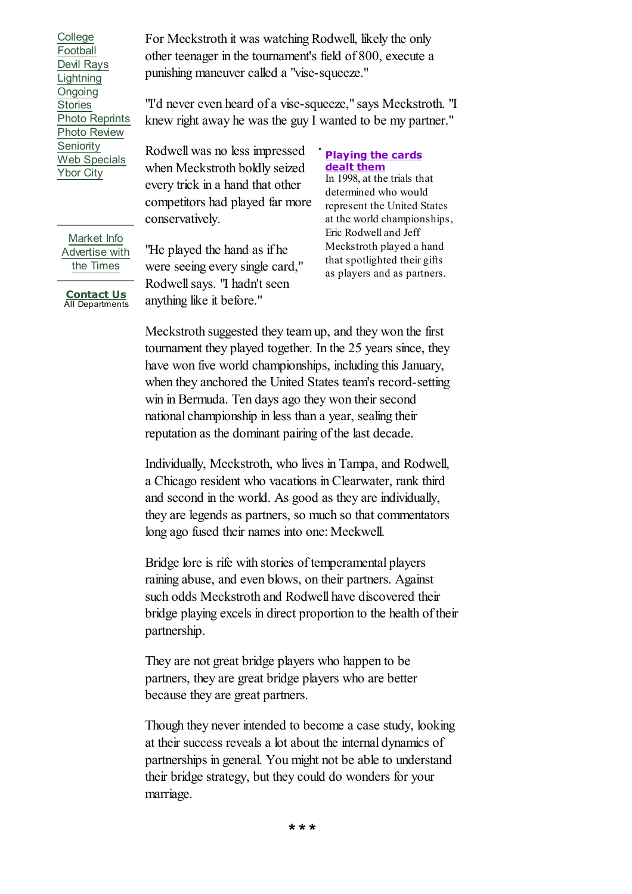College Football Devil Rays **Lightning** Ongoing Stories Photo Reprints Photo Review **Seniority** Web Specials Ybor City

Market Info Advertise with the Times

**Contact Us** All Departments For Meckstroth it was watching Rodwell, likely the only other teenager in the tournament's field of 800, execute a punishing maneuver called a "vise-squeeze."

"I'd never even heard of a vise-squeeze," says Meckstroth. "I knew right away he was the guy I wanted to be my partner."

Rodwell was no less impressed when Meckstroth boldly seized every trick in a hand that other competitors had played far more conservatively.

"He played the hand as if he were seeing every single card," Rodwell says. "I hadn't seen anything like it before."

### **Playing the cards dealt them**

In 1998, at the trials that determined who would represent the United States at the world championships, Eric Rodwell and Jeff Meckstroth played a hand that spotlighted their gifts as players and as partners.

Meckstroth suggested they team up, and they won the first tournament they played together. In the 25 years since, they have won five world championships, including this January, when they anchored the United States team's record-setting win in Bermuda. Ten days ago they won their second national championship in less than a year, sealing their reputation as the dominant pairing of the last decade.

Individually, Meckstroth, who lives in Tampa, and Rodwell, a Chicago resident who vacations in Clearwater, rank third and second in the world. As good as they are individually, they are legends as partners, so much so that commentators long ago fused their names into one: Meckwell.

Bridge lore is rife with stories of temperamental players raining abuse, and even blows, on their partners. Against such odds Meckstroth and Rodwell have discovered their bridge playing excels in direct proportion to the health of their partnership.

They are not great bridge players who happen to be partners, they are great bridge players who are better because they are great partners.

Though they never intended to become a case study, looking at their success reveals a lot about the internal dynamics of partnerships in general. You might not be able to understand their bridge strategy, but they could do wonders for your marriage.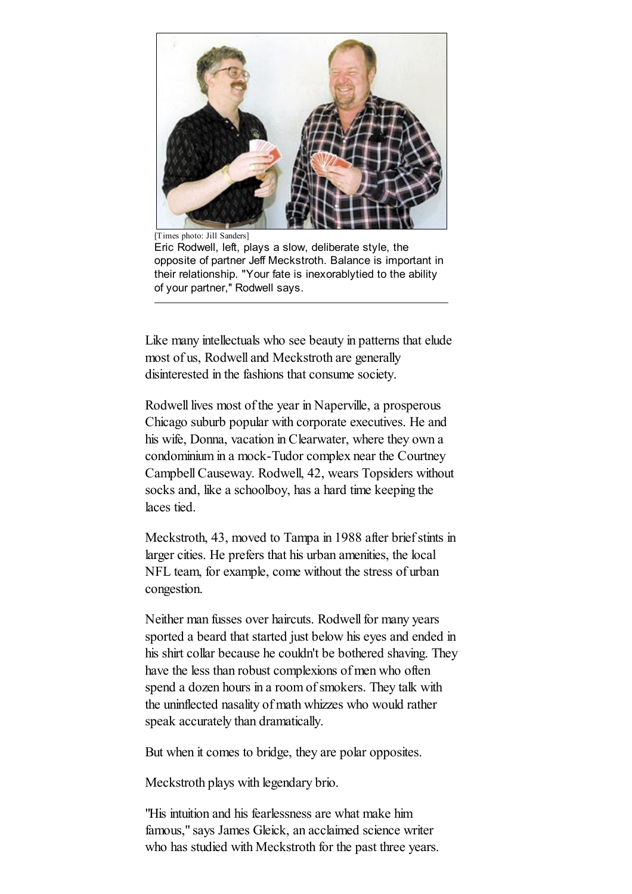

[Times photo: Jill Sanders]

Eric Rodwell, left, plays a slow, deliberate style, the opposite of partner Jeff Meckstroth. Balance is important in their relationship. "Your fate is inexorablytied to the ability of your partner,'' Rodwell says.

Like many intellectuals who see beauty in patterns that elude most of us, Rodwell and Meckstroth are generally disinterested in the fashions that consume society.

Rodwell lives most of the year in Naperville, a prosperous Chicago suburb popular with corporate executives. He and his wife, Donna, vacation in Clearwater, where they own a condominium in a mock-Tudor complex near the Courtney Campbell Causeway. Rodwell, 42, wears Topsiders without socks and, like a schoolboy, has a hard time keeping the laces tied.

Meckstroth, 43, moved to Tampa in 1988 after brief stints in larger cities. He prefers that his urban amenities, the local NFL team, for example, come without the stress of urban congestion.

Neither man fusses over haircuts. Rodwell for many years sported a beard that started just below his eyes and ended in his shirt collar because he couldn't be bothered shaving. They have the less than robust complexions of men who often spend a dozen hours in a room of smokers. They talk with the uninflected nasality of math whizzes who would rather speak accurately than dramatically.

But when it comes to bridge, they are polar opposites.

Meckstroth plays with legendary brio.

"His intuition and his fearlessness are what make him famous," says James Gleick, an acclaimed science writer who has studied with Meckstroth for the past three years.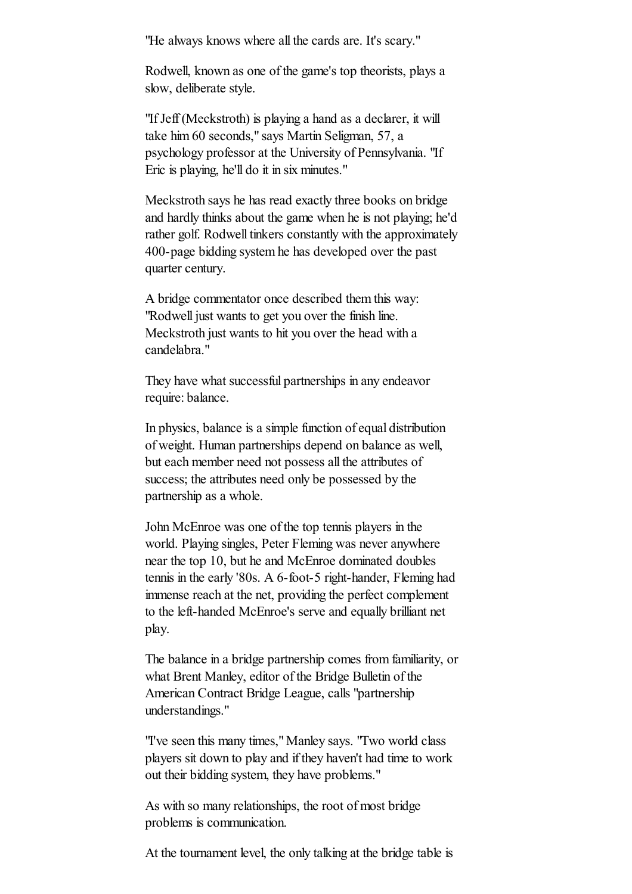"He always knows where all the cards are. It's scary."

Rodwell, known as one of the game's top theorists, plays a slow, deliberate style.

"If Jeff (Meckstroth) is playing a hand as a declarer, it will take him 60 seconds," says Martin Seligman, 57, a psychology professor at the University of Pennsylvania. "If Eric is playing, he'll do it in six minutes."

Meckstroth says he has read exactly three books on bridge and hardly thinks about the game when he is not playing; he'd rather golf. Rodwell tinkers constantly with the approximately 400-page bidding system he has developed over the past quarter century.

A bridge commentator once described them this way: "Rodwell just wants to get you over the finish line. Meckstroth just wants to hit you over the head with a candelabra."

They have what successful partnerships in any endeavor require: balance.

In physics, balance is a simple function of equal distribution of weight. Human partnerships depend on balance as well, but each member need not possess all the attributes of success; the attributes need only be possessed by the partnership as a whole.

John McEnroe was one of the top tennis players in the world. Playing singles, Peter Fleming was never anywhere near the top 10, but he and McEnroe dominated doubles tennis in the early '80s. A 6-foot-5 right-hander, Fleming had immense reach at the net, providing the perfect complement to the left-handed McEnroe's serve and equally brilliant net play.

The balance in a bridge partnership comes from familiarity, or what Brent Manley, editor of the Bridge Bulletin of the American Contract Bridge League, calls "partnership understandings."

"I've seen this many times," Manley says. "Two world class players sit down to play and if they haven't had time to work out their bidding system, they have problems."

As with so many relationships, the root of most bridge problems is communication.

At the tournament level, the only talking at the bridge table is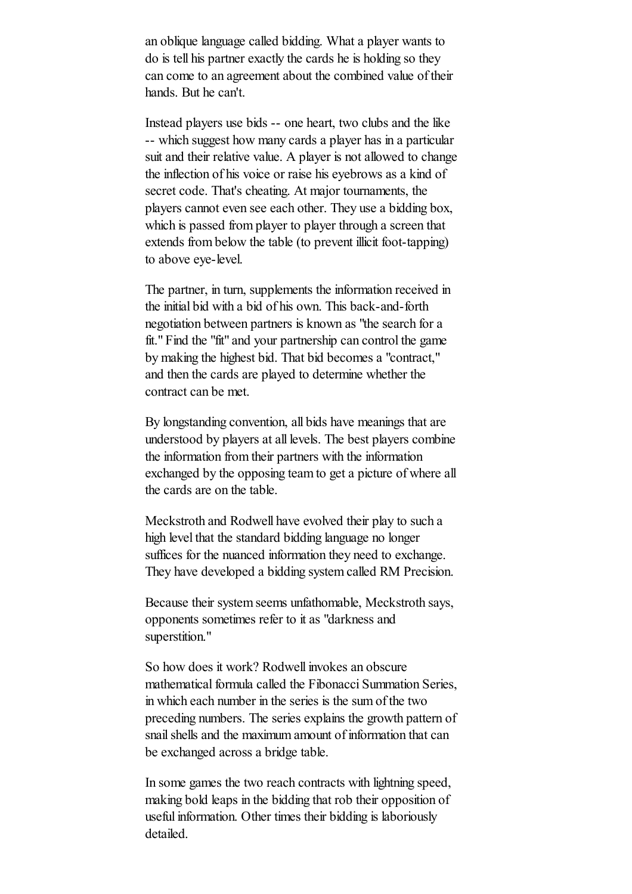an oblique language called bidding. What a player wants to do is tell his partner exactly the cards he is holding so they can come to an agreement about the combined value of their hands. But he can't.

Instead players use bids -- one heart, two clubs and the like -- which suggest how many cards a player has in a particular suit and their relative value. A player is not allowed to change the inflection of his voice or raise his eyebrows as a kind of secret code. That's cheating. At major tournaments, the players cannot even see each other. They use a bidding box, which is passed from player to player through a screen that extends from below the table (to prevent illicit foot-tapping) to above eye-level.

The partner, in turn, supplements the information received in the initial bid with a bid of his own. This back-and-forth negotiation between partners is known as "the search for a fit." Find the "fit" and your partnership can control the game by making the highest bid. That bid becomes a "contract," and then the cards are played to determine whether the contract can be met.

By longstanding convention, all bids have meanings that are understood by players at all levels. The best players combine the information from their partners with the information exchanged by the opposing team to get a picture of where all the cards are on the table.

Meckstroth and Rodwell have evolved their play to such a high level that the standard bidding language no longer suffices for the nuanced information they need to exchange. They have developed a bidding system called RM Precision.

Because their system seems unfathomable, Meckstroth says, opponents sometimes refer to it as "darkness and superstition."

So how does it work? Rodwell invokes an obscure mathematical formula called the Fibonacci Summation Series, in which each number in the series is the sum of the two preceding numbers. The series explains the growth pattern of snail shells and the maximum amount of information that can be exchanged across a bridge table.

In some games the two reach contracts with lightning speed, making bold leaps in the bidding that rob their opposition of useful information. Other times their bidding is laboriously detailed.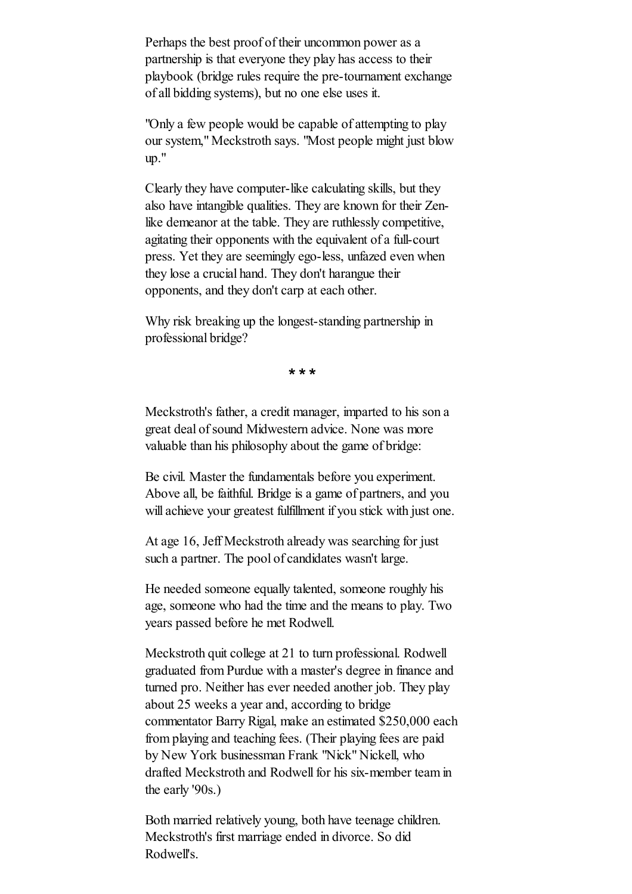Perhaps the best proof of their uncommon power as a partnership is that everyone they play has access to their playbook (bridge rules require the pre-tournament exchange of all bidding systems), but no one else uses it.

"Only a few people would be capable of attempting to play our system," Meckstroth says. "Most people might just blow up."

Clearly they have computer-like calculating skills, but they also have intangible qualities. They are known for their Zenlike demeanor at the table. They are ruthlessly competitive, agitating their opponents with the equivalent of a full-court press. Yet they are seemingly ego-less, unfazed even when they lose a crucial hand. They don't harangue their opponents, and they don't carp at each other.

Why risk breaking up the longest-standing partnership in professional bridge?

**\* \* \***

Meckstroth's father, a credit manager, imparted to his son a great deal of sound Midwestern advice. None was more valuable than his philosophy about the game of bridge:

Be civil. Master the fundamentals before you experiment. Above all, be faithful. Bridge is a game of partners, and you will achieve your greatest fulfillment if you stick with just one.

At age 16, Jeff Meckstroth already was searching for just such a partner. The pool of candidates wasn't large.

He needed someone equally talented, someone roughly his age, someone who had the time and the means to play. Two years passed before he met Rodwell.

Meckstroth quit college at 21 to turn professional. Rodwell graduated from Purdue with a master's degree in finance and turned pro. Neither has ever needed another job. They play about 25 weeks a year and, according to bridge commentator Barry Rigal, make an estimated \$250,000 each from playing and teaching fees. (Their playing fees are paid by New York businessman Frank "Nick" Nickell, who drafted Meckstroth and Rodwell for his six-member team in the early '90s.)

Both married relatively young, both have teenage children. Meckstroth's first marriage ended in divorce. So did Rodwell's.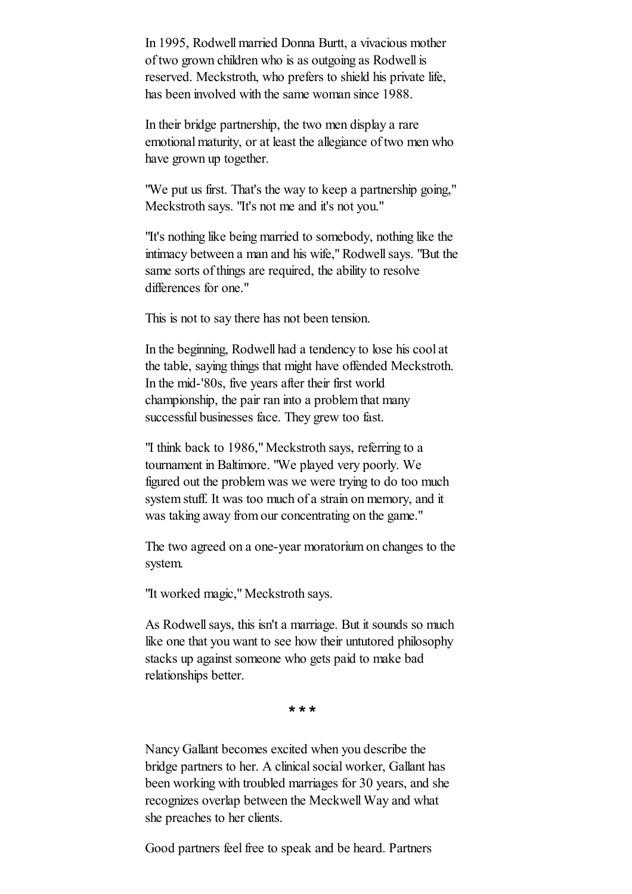In 1995, Rodwell married Donna Burtt, a vivacious mother of two grown children who is as outgoing as Rodwell is reserved. Meckstroth, who prefers to shield his private life, has been involved with the same woman since 1988.

In their bridge partnership, the two men display a rare emotional maturity, or at least the allegiance of two men who have grown up together.

"We put us first. That's the way to keep a partnership going," Meckstroth says. "It's not me and it's not you."

"It's nothing like being married to somebody, nothing like the intimacy between a man and his wife," Rodwell says. "But the same sorts of things are required, the ability to resolve differences for one."

This is not to say there has not been tension.

In the beginning, Rodwell had a tendency to lose his cool at the table, saying things that might have offended Meckstroth. In the mid-'80s, five years after their first world championship, the pair ran into a problem that many successful businesses face. They grew too fast.

"I think back to 1986," Meckstroth says, referring to a tournament in Baltimore. "We played very poorly. We figured out the problem was we were trying to do too much system stuff. It was too much of a strain on memory, and it was taking away from our concentrating on the game."

The two agreed on a one-year moratorium on changes to the system.

"It worked magic," Meckstroth says.

As Rodwell says, this isn't a marriage. But it sounds so much like one that you want to see how their untutored philosophy stacks up against someone who gets paid to make bad relationships better.

**\* \* \***

Nancy Gallant becomes excited when you describe the bridge partners to her. A clinical social worker, Gallant has been working with troubled marriages for 30 years, and she recognizes overlap between the Meckwell Way and what she preaches to her clients.

Good partners feel free to speak and be heard. Partners